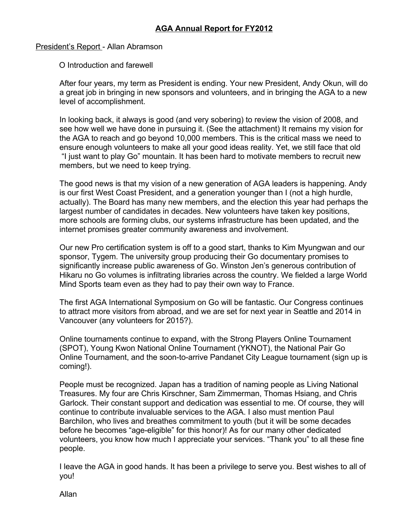President's Report - Allan Abramson

O Introduction and farewell

After four years, my term as President is ending. Your new President, Andy Okun, will do a great job in bringing in new sponsors and volunteers, and in bringing the AGA to a new level of accomplishment.

In looking back, it always is good (and very sobering) to review the vision of 2008, and see how well we have done in pursuing it. (See the attachment) It remains my vision for the AGA to reach and go beyond 10,000 members. This is the critical mass we need to ensure enough volunteers to make all your good ideas reality. Yet, we still face that old "I just want to play Go" mountain. It has been hard to motivate members to recruit new members, but we need to keep trying.

The good news is that my vision of a new generation of AGA leaders is happening. Andy is our first West Coast President, and a generation younger than I (not a high hurdle, actually). The Board has many new members, and the election this year had perhaps the largest number of candidates in decades. New volunteers have taken key positions, more schools are forming clubs, our systems infrastructure has been updated, and the internet promises greater community awareness and involvement.

Our new Pro certification system is off to a good start, thanks to Kim Myungwan and our sponsor, Tygem. The university group producing their Go documentary promises to significantly increase public awareness of Go. Winston Jen's generous contribution of Hikaru no Go volumes is infiltrating libraries across the country. We fielded a large World Mind Sports team even as they had to pay their own way to France.

The first AGA International Symposium on Go will be fantastic. Our Congress continues to attract more visitors from abroad, and we are set for next year in Seattle and 2014 in Vancouver (any volunteers for 2015?).

Online tournaments continue to expand, with the Strong Players Online Tournament (SPOT), Young Kwon National Online Tournament (YKNOT), the National Pair Go Online Tournament, and the soon-to-arrive Pandanet City League tournament (sign up is coming!).

People must be recognized. Japan has a tradition of naming people as Living National Treasures. My four are Chris Kirschner, Sam Zimmerman, Thomas Hsiang, and Chris Garlock. Their constant support and dedication was essential to me. Of course, they will continue to contribute invaluable services to the AGA. I also must mention Paul Barchilon, who lives and breathes commitment to youth (but it will be some decades before he becomes "age-eligible" for this honor)! As for our many other dedicated volunteers, you know how much I appreciate your services. "Thank you" to all these fine people.

I leave the AGA in good hands. It has been a privilege to serve you. Best wishes to all of you!

Allan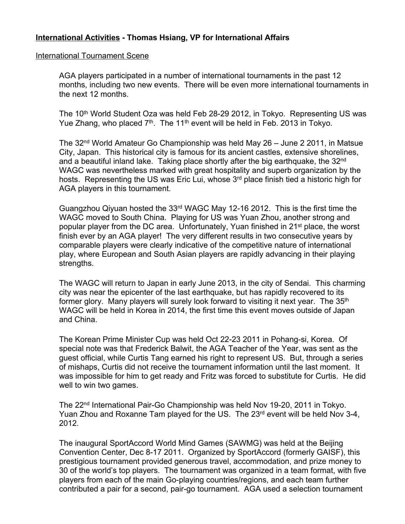## **International Activities - Thomas Hsiang, VP for International Affairs**

### International Tournament Scene

AGA players participated in a number of international tournaments in the past 12 months, including two new events. There will be even more international tournaments in the next 12 months.

The 10<sup>th</sup> World Student Oza was held Feb 28-29 2012, in Tokyo. Representing US was Yue Zhang, who placed 7<sup>th</sup>. The 11<sup>th</sup> event will be held in Feb. 2013 in Tokyo.

The 32<sup>nd</sup> World Amateur Go Championship was held May 26 – June 2 2011, in Matsue City, Japan. This historical city is famous for its ancient castles, extensive shorelines, and a beautiful inland lake. Taking place shortly after the big earthquake, the 32<sup>nd</sup> WAGC was nevertheless marked with great hospitality and superb organization by the hosts. Representing the US was Eric Lui, whose 3<sup>rd</sup> place finish tied a historic high for AGA players in this tournament.

Guangzhou Qiyuan hosted the 33<sup>rd</sup> WAGC May 12-16 2012. This is the first time the WAGC moved to South China. Playing for US was Yuan Zhou, another strong and popular player from the DC area. Unfortunately, Yuan finished in 21<sup>st</sup> place, the worst finish ever by an AGA player! The very different results in two consecutive years by comparable players were clearly indicative of the competitive nature of international play, where European and South Asian players are rapidly advancing in their playing strengths.

The WAGC will return to Japan in early June 2013, in the city of Sendai. This charming city was near the epicenter of the last earthquake, but has rapidly recovered to its former glory. Many players will surely look forward to visiting it next year. The 35<sup>th</sup> WAGC will be held in Korea in 2014, the first time this event moves outside of Japan and China.

The Korean Prime Minister Cup was held Oct 22-23 2011 in Pohang-si, Korea. Of special note was that Frederick Balwit, the AGA Teacher of the Year, was sent as the guest official, while Curtis Tang earned his right to represent US. But, through a series of mishaps, Curtis did not receive the tournament information until the last moment. It was impossible for him to get ready and Fritz was forced to substitute for Curtis. He did well to win two games.

The 22<sup>nd</sup> International Pair-Go Championship was held Nov 19-20, 2011 in Tokyo. Yuan Zhou and Roxanne Tam played for the US. The 23<sup>rd</sup> event will be held Nov 3-4, 2012.

The inaugural SportAccord World Mind Games (SAWMG) was held at the Beijing Convention Center, Dec 8-17 2011. Organized by SportAccord (formerly GAISF), this prestigious tournament provided generous travel, accommodation, and prize money to 30 of the world's top players. The tournament was organized in a team format, with five players from each of the main Go-playing countries/regions, and each team further contributed a pair for a second, pair-go tournament. AGA used a selection tournament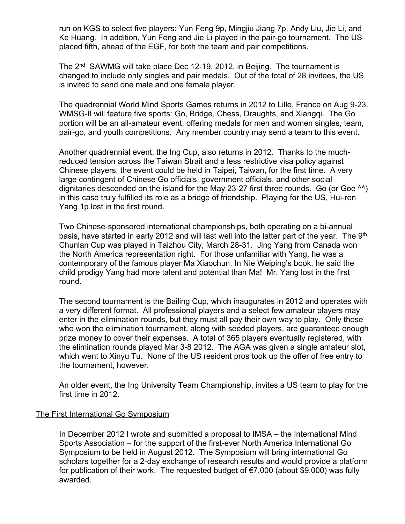run on KGS to select five players: Yun Feng 9p, Mingjiu Jiang 7p, Andy Liu, Jie Li, and Ke Huang. In addition, Yun Feng and Jie Li played in the pair-go tournament. The US placed fifth, ahead of the EGF, for both the team and pair competitions.

The 2<sup>nd</sup> SAWMG will take place Dec 12-19, 2012, in Beijing. The tournament is changed to include only singles and pair medals. Out of the total of 28 invitees, the US is invited to send one male and one female player.

The quadrennial World Mind Sports Games returns in 2012 to Lille, France on Aug 9-23. WMSG-II will feature five sports: Go, Bridge, Chess, Draughts, and Xiangqi. The Go portion will be an all-amateur event, offering medals for men and women singles, team, pair-go, and youth competitions. Any member country may send a team to this event.

Another quadrennial event, the Ing Cup, also returns in 2012. Thanks to the muchreduced tension across the Taiwan Strait and a less restrictive visa policy against Chinese players, the event could be held in Taipei, Taiwan, for the first time. A very large contingent of Chinese Go officials, government officials, and other social dignitaries descended on the island for the May 23-27 first three rounds. Go (or Goe ^^) in this case truly fulfilled its role as a bridge of friendship. Playing for the US, Hui-ren Yang 1p lost in the first round.

Two Chinese-sponsored international championships, both operating on a bi-annual basis, have started in early 2012 and will last well into the latter part of the year. The 9<sup>th</sup> Chunlan Cup was played in Taizhou City, March 28-31. Jing Yang from Canada won the North America representation right. For those unfamiliar with Yang, he was a contemporary of the famous player Ma Xiaochun. In Nie Weiping's book, he said the child prodigy Yang had more talent and potential than Ma! Mr. Yang lost in the first round.

The second tournament is the Bailing Cup, which inaugurates in 2012 and operates with a very different format. All professional players and a select few amateur players may enter in the elimination rounds, but they must all pay their own way to play. Only those who won the elimination tournament, along with seeded players, are guaranteed enough prize money to cover their expenses. A total of 365 players eventually registered, with the elimination rounds played Mar 3-8 2012. The AGA was given a single amateur slot, which went to Xinyu Tu. None of the US resident pros took up the offer of free entry to the tournament, however.

An older event, the Ing University Team Championship, invites a US team to play for the first time in 2012.

## The First International Go Symposium

In December 2012 I wrote and submitted a proposal to IMSA – the International Mind Sports Association – for the support of the first-ever North America International Go Symposium to be held in August 2012. The Symposium will bring international Go scholars together for a 2-day exchange of research results and would provide a platform for publication of their work. The requested budget of  $\epsilon$ 7,000 (about \$9,000) was fully awarded.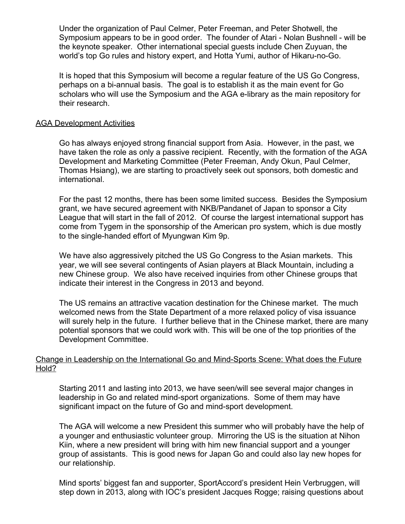Under the organization of Paul Celmer, Peter Freeman, and Peter Shotwell, the Symposium appears to be in good order. The founder of Atari - Nolan Bushnell - will be the keynote speaker. Other international special guests include Chen Zuyuan, the world's top Go rules and history expert, and Hotta Yumi, author of Hikaru-no-Go.

It is hoped that this Symposium will become a regular feature of the US Go Congress, perhaps on a bi-annual basis. The goal is to establish it as the main event for Go scholars who will use the Symposium and the AGA e-library as the main repository for their research.

### AGA Development Activities

Go has always enjoyed strong financial support from Asia. However, in the past, we have taken the role as only a passive recipient. Recently, with the formation of the AGA Development and Marketing Committee (Peter Freeman, Andy Okun, Paul Celmer, Thomas Hsiang), we are starting to proactively seek out sponsors, both domestic and international.

For the past 12 months, there has been some limited success. Besides the Symposium grant, we have secured agreement with NKB/Pandanet of Japan to sponsor a City League that will start in the fall of 2012. Of course the largest international support has come from Tygem in the sponsorship of the American pro system, which is due mostly to the single-handed effort of Myungwan Kim 9p.

We have also aggressively pitched the US Go Congress to the Asian markets. This year, we will see several contingents of Asian players at Black Mountain, including a new Chinese group. We also have received inquiries from other Chinese groups that indicate their interest in the Congress in 2013 and beyond.

The US remains an attractive vacation destination for the Chinese market. The much welcomed news from the State Department of a more relaxed policy of visa issuance will surely help in the future. I further believe that in the Chinese market, there are many potential sponsors that we could work with. This will be one of the top priorities of the Development Committee.

## Change in Leadership on the International Go and Mind-Sports Scene: What does the Future Hold?

Starting 2011 and lasting into 2013, we have seen/will see several major changes in leadership in Go and related mind-sport organizations. Some of them may have significant impact on the future of Go and mind-sport development.

The AGA will welcome a new President this summer who will probably have the help of a younger and enthusiastic volunteer group. Mirroring the US is the situation at Nihon Kiin, where a new president will bring with him new financial support and a younger group of assistants. This is good news for Japan Go and could also lay new hopes for our relationship.

Mind sports' biggest fan and supporter, SportAccord's president Hein Verbruggen, will step down in 2013, along with IOC's president Jacques Rogge; raising questions about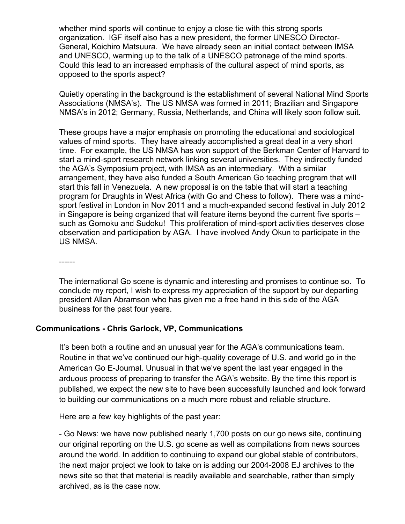whether mind sports will continue to enjoy a close tie with this strong sports organization. IGF itself also has a new president, the former UNESCO Director-General, Koichiro Matsuura. We have already seen an initial contact between IMSA and UNESCO, warming up to the talk of a UNESCO patronage of the mind sports. Could this lead to an increased emphasis of the cultural aspect of mind sports, as opposed to the sports aspect?

Quietly operating in the background is the establishment of several National Mind Sports Associations (NMSA's). The US NMSA was formed in 2011: Brazilian and Singapore NMSA's in 2012; Germany, Russia, Netherlands, and China will likely soon follow suit.

These groups have a major emphasis on promoting the educational and sociological values of mind sports. They have already accomplished a great deal in a very short time. For example, the US NMSA has won support of the Berkman Center of Harvard to start a mind-sport research network linking several universities. They indirectly funded the AGA's Symposium project, with IMSA as an intermediary. With a similar arrangement, they have also funded a South American Go teaching program that will start this fall in Venezuela. A new proposal is on the table that will start a teaching program for Draughts in West Africa (with Go and Chess to follow). There was a mindsport festival in London in Nov 2011 and a much-expanded second festival in July 2012 in Singapore is being organized that will feature items beyond the current five sports such as Gomoku and Sudoku! This proliferation of mind-sport activities deserves close observation and participation by AGA. I have involved Andy Okun to participate in the US NMSA.

------

The international Go scene is dynamic and interesting and promises to continue so. To conclude my report, I wish to express my appreciation of the support by our departing president Allan Abramson who has given me a free hand in this side of the AGA business for the past four years.

## **Communications - Chris Garlock, VP, Communications**

It's been both a routine and an unusual year for the AGA's communications team. Routine in that we've continued our high-quality coverage of U.S. and world go in the American Go E-Journal. Unusual in that we've spent the last year engaged in the arduous process of preparing to transfer the AGA's website. By the time this report is published, we expect the new site to have been successfully launched and look forward to building our communications on a much more robust and reliable structure.

Here are a few key highlights of the past year:

- Go News: we have now published nearly 1,700 posts on our go news site, continuing our original reporting on the U.S. go scene as well as compilations from news sources around the world. In addition to continuing to expand our global stable of contributors, the next major project we look to take on is adding our 2004-2008 EJ archives to the news site so that that material is readily available and searchable, rather than simply archived, as is the case now.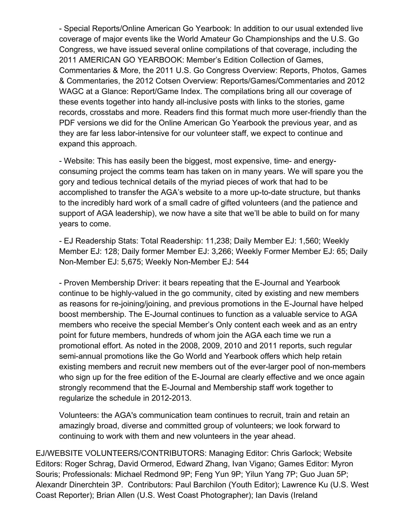- Special Reports/Online American Go Yearbook: In addition to our usual extended live coverage of major events like the World Amateur Go Championships and the U.S. Go Congress, we have issued several online compilations of that coverage, including the 2011 AMERICAN GO YEARBOOK: Member's Edition Collection of Games, Commentaries & More, the 2011 U.S. Go Congress Overview: Reports, Photos, Games & Commentaries, the 2012 Cotsen Overview: Reports/Games/Commentaries and 2012 WAGC at a Glance: Report/Game Index. The compilations bring all our coverage of these events together into handy all-inclusive posts with links to the stories, game records, crosstabs and more. Readers find this format much more user-friendly than the PDF versions we did for the Online American Go Yearbook the previous year, and as they are far less labor-intensive for our volunteer staff, we expect to continue and expand this approach.

- Website: This has easily been the biggest, most expensive, time- and energyconsuming project the comms team has taken on in many years. We will spare you the gory and tedious technical details of the myriad pieces of work that had to be accomplished to transfer the AGA's website to a more up-to-date structure, but thanks to the incredibly hard work of a small cadre of gifted volunteers (and the patience and support of AGA leadership), we now have a site that we'll be able to build on for many years to come.

- EJ Readership Stats: Total Readership: 11,238; Daily Member EJ: 1,560; Weekly Member EJ: 128; Daily former Member EJ: 3,266; Weekly Former Member EJ: 65; Daily Non-Member EJ: 5,675; Weekly Non-Member EJ: 544

- Proven Membership Driver: it bears repeating that the E-Journal and Yearbook continue to be highly-valued in the go community, cited by existing and new members as reasons for re-joining/joining, and previous promotions in the E-Journal have helped boost membership. The E-Journal continues to function as a valuable service to AGA members who receive the special Member's Only content each week and as an entry point for future members, hundreds of whom join the AGA each time we run a promotional effort. As noted in the 2008, 2009, 2010 and 2011 reports, such regular semi-annual promotions like the Go World and Yearbook offers which help retain existing members and recruit new members out of the ever-larger pool of non-members who sign up for the free edition of the E-Journal are clearly effective and we once again strongly recommend that the E-Journal and Membership staff work together to regularize the schedule in 2012-2013.

Volunteers: the AGA's communication team continues to recruit, train and retain an amazingly broad, diverse and committed group of volunteers; we look forward to continuing to work with them and new volunteers in the year ahead.

EJ/WEBSITE VOLUNTEERS/CONTRIBUTORS: Managing Editor: Chris Garlock; Website Editors: Roger Schrag, David Ormerod, Edward Zhang, Ivan Vigano; Games Editor: Myron Souris; Professionals: Michael Redmond 9P; Feng Yun 9P; Yilun Yang 7P; Guo Juan 5P; Alexandr Dinerchtein 3P. Contributors: Paul Barchilon (Youth Editor); Lawrence Ku (U.S. West Coast Reporter); Brian Allen (U.S. West Coast Photographer); Ian Davis (Ireland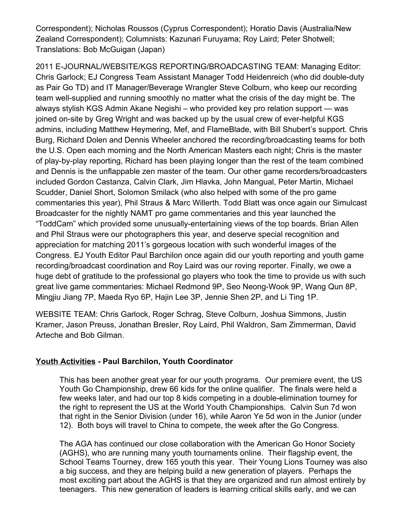Correspondent); Nicholas Roussos (Cyprus Correspondent); Horatio Davis (Australia/New Zealand Correspondent); Columnists: Kazunari Furuyama; Roy Laird; Peter Shotwell; Translations: Bob McGuigan (Japan)

2011 E-JOURNAL/WEBSITE/KGS REPORTING/BROADCASTING TEAM: Managing Editor: Chris Garlock; EJ Congress Team Assistant Manager Todd Heidenreich (who did double-duty as Pair Go TD) and IT Manager/Beverage Wrangler Steve Colburn, who keep our recording team well-supplied and running smoothly no matter what the crisis of the day might be. The always stylish KGS Admin Akane Negishi – who provided key pro relation support — was joined on-site by Greg Wright and was backed up by the usual crew of ever-helpful KGS admins, including Matthew Heymering, Mef, and FlameBlade, with Bill Shubert's support. Chris Burg, Richard Dolen and Dennis Wheeler anchored the recording/broadcasting teams for both the U.S. Open each morning and the North American Masters each night; Chris is the master of play-by-play reporting, Richard has been playing longer than the rest of the team combined and Dennis is the unflappable zen master of the team. Our other game recorders/broadcasters included Gordon Castanza, Calvin Clark, Jim Hlavka, John Mangual, Peter Martin, Michael Scudder, Daniel Short, Solomon Smilack (who also helped with some of the pro game commentaries this year), Phil Straus & Marc Willerth. Todd Blatt was once again our Simulcast Broadcaster for the nightly NAMT pro game commentaries and this year launched the "ToddCam" which provided some unusually-entertaining views of the top boards. Brian Allen and Phil Straus were our photographers this year, and deserve special recognition and appreciation for matching 2011's gorgeous location with such wonderful images of the Congress. EJ Youth Editor Paul Barchilon once again did our youth reporting and youth game recording/broadcast coordination and Roy Laird was our roving reporter. Finally, we owe a huge debt of gratitude to the professional go players who took the time to provide us with such great live game commentaries: Michael Redmond 9P, Seo Neong-Wook 9P, Wang Qun 8P, Mingjiu Jiang 7P, Maeda Ryo 6P, Hajin Lee 3P, Jennie Shen 2P, and Li Ting 1P.

WEBSITE TEAM: Chris Garlock, Roger Schrag, Steve Colburn, Joshua Simmons, Justin Kramer, Jason Preuss, Jonathan Bresler, Roy Laird, Phil Waldron, Sam Zimmerman, David Arteche and Bob Gilman.

# **Youth Activities - Paul Barchilon, Youth Coordinator**

This has been another great year for our youth programs. Our premiere event, the US Youth Go Championship, drew 66 kids for the online qualifier. The finals were held a few weeks later, and had our top 8 kids competing in a double-elimination tourney for the right to represent the US at the World Youth Championships. Calvin Sun 7d won that right in the Senior Division (under 16), while Aaron Ye 5d won in the Junior (under 12). Both boys will travel to China to compete, the week after the Go Congress.

The AGA has continued our close collaboration with the American Go Honor Society (AGHS), who are running many youth tournaments online. Their flagship event, the School Teams Tourney, drew 165 youth this year. Their Young Lions Tourney was also a big success, and they are helping build a new generation of players. Perhaps the most exciting part about the AGHS is that they are organized and run almost entirely by teenagers. This new generation of leaders is learning critical skills early, and we can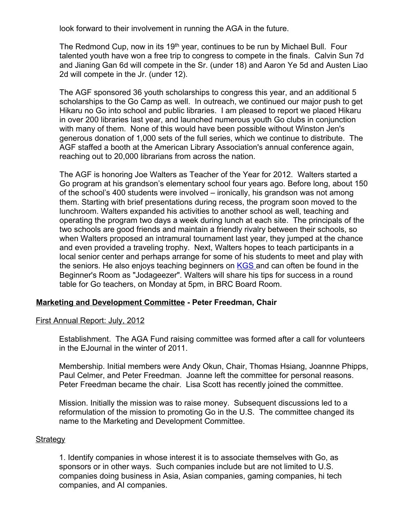look forward to their involvement in running the AGA in the future.

The Redmond Cup, now in its 19<sup>th</sup> year, continues to be run by Michael Bull. Four talented youth have won a free trip to congress to compete in the finals. Calvin Sun 7d and Jianing Gan 6d will compete in the Sr. (under 18) and Aaron Ye 5d and Austen Liao 2d will compete in the Jr. (under 12).

The AGF sponsored 36 youth scholarships to congress this year, and an additional 5 scholarships to the Go Camp as well. In outreach, we continued our major push to get Hikaru no Go into school and public libraries. I am pleased to report we placed Hikaru in over 200 libraries last year, and launched numerous youth Go clubs in conjunction with many of them. None of this would have been possible without Winston Jen's generous donation of 1,000 sets of the full series, which we continue to distribute. The AGF staffed a booth at the American Library Association's annual conference again, reaching out to 20,000 librarians from across the nation.

The AGF is honoring Joe Walters as Teacher of the Year for 2012. Walters started a Go program at his grandson's elementary school four years ago. Before long, about 150 of the school's 400 students were involved  $-$  ironically, his grandson was not among them. Starting with brief presentations during recess, the program soon moved to the lunchroom. Walters expanded his activities to another school as well, teaching and operating the program two days a week during lunch at each site. The principals of the two schools are good friends and maintain a friendly rivalry between their schools, so when Walters proposed an intramural tournament last year, they jumped at the chance and even provided a traveling trophy. Next, Walters hopes to teach participants in a local senior center and perhaps arrange for some of his students to meet and play with the seniors. He also enjoys teaching beginners on **[KGS](http://usgo.us1.list-manage.com/track/click?u=bc8dd13391088ff007261ae07&id=ece2b6a6b9&e=629fc8e5bb)** and can often be found in the Beginner's Room as "Jodageezer". Walters will share his tips for success in a round table for Go teachers, on Monday at 5pm, in BRC Board Room.

### **Marketing and Development Committee - Peter Freedman, Chair**

### First Annual Report: July, 2012

Establishment. The AGA Fund raising committee was formed after a call for volunteers in the EJournal in the winter of 2011.

Membership. Initial members were Andy Okun, Chair, Thomas Hsiang, Joannne Phipps, Paul Celmer, and Peter Freedman. Joanne left the committee for personal reasons. Peter Freedman became the chair. Lisa Scott has recently joined the committee.

Mission. Initially the mission was to raise money. Subsequent discussions led to a reformulation of the mission to promoting Go in the U.S. The committee changed its name to the Marketing and Development Committee.

#### **Strategy**

1. Identify companies in whose interest it is to associate themselves with Go, as sponsors or in other ways. Such companies include but are not limited to U.S. companies doing business in Asia, Asian companies, gaming companies, hi tech companies, and AI companies.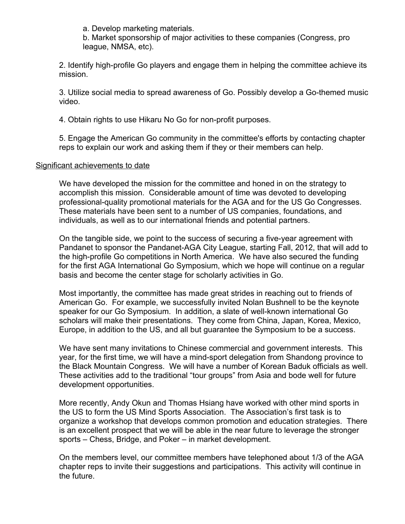a. Develop marketing materials.

b. Market sponsorship of major activities to these companies (Congress, pro league, NMSA, etc).

2. Identify high-profile Go players and engage them in helping the committee achieve its mission.

3. Utilize social media to spread awareness of Go. Possibly develop a Go-themed music video.

4. Obtain rights to use Hikaru No Go for non-profit purposes.

5. Engage the American Go community in the committee's efforts by contacting chapter reps to explain our work and asking them if they or their members can help.

### Significant achievements to date

We have developed the mission for the committee and honed in on the strategy to accomplish this mission. Considerable amount of time was devoted to developing professional-quality promotional materials for the AGA and for the US Go Congresses. These materials have been sent to a number of US companies, foundations, and individuals, as well as to our international friends and potential partners.

On the tangible side, we point to the success of securing a five-year agreement with Pandanet to sponsor the Pandanet-AGA City League, starting Fall, 2012, that will add to the high-profile Go competitions in North America. We have also secured the funding for the first AGA International Go Symposium, which we hope will continue on a regular basis and become the center stage for scholarly activities in Go.

Most importantly, the committee has made great strides in reaching out to friends of American Go. For example, we successfully invited Nolan Bushnell to be the keynote speaker for our Go Symposium. In addition, a slate of well-known international Go scholars will make their presentations. They come from China, Japan, Korea, Mexico, Europe, in addition to the US, and all but guarantee the Symposium to be a success.

We have sent many invitations to Chinese commercial and government interests. This year, for the first time, we will have a mind-sport delegation from Shandong province to the Black Mountain Congress. We will have a number of Korean Baduk officials as well. These activities add to the traditional "tour groups" from Asia and bode well for future development opportunities.

More recently, Andy Okun and Thomas Hsiang have worked with other mind sports in the US to form the US Mind Sports Association. The Association's first task is to organize a workshop that develops common promotion and education strategies. There is an excellent prospect that we will be able in the near future to leverage the stronger sports – Chess, Bridge, and Poker – in market development.

On the members level, our committee members have telephoned about 1/3 of the AGA chapter reps to invite their suggestions and participations. This activity will continue in the future.